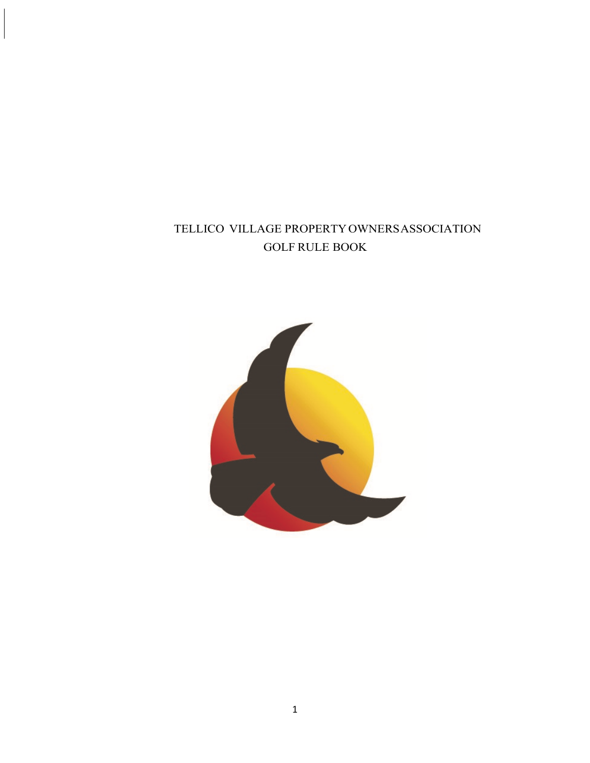# TELLICO VILLAGE PROPERTYOWNERSASSOCIATION  $\operatorname{GOLF}$  RULE BOOK

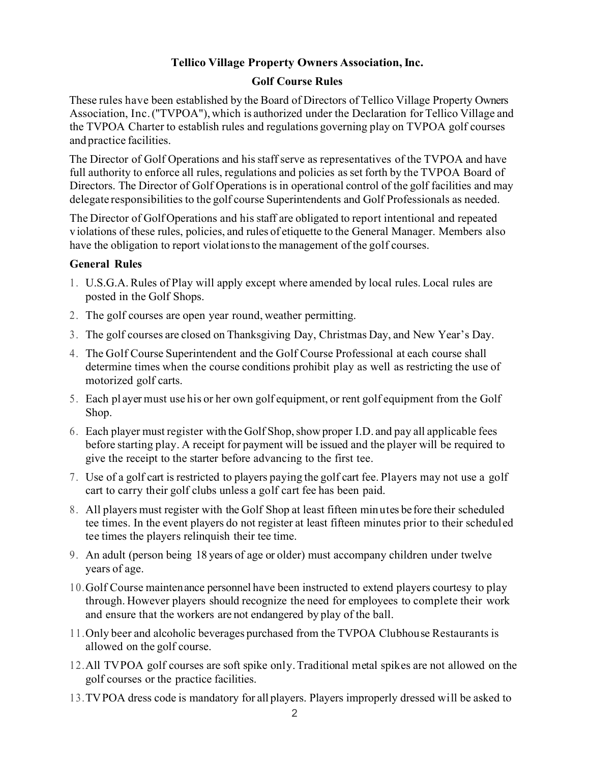#### **Tellico Village Property Owners Association,Inc.**

#### **Golf Course Rules**

These rules have been established by the Board of Directors of Tellico Village Property Owners Association, Inc.(''TVPOA"),which is authorized under the Declaration for Tellico Village and the TVPOA Charter to establish rules and regulations governing play on TVPOA golf courses and practice facilities.

The Director of Golf Operations and hisstaff serve as representatives of the TVPOA and have full authority to enforce all rules, regulations and policies as set forth by the TVPOA Board of Directors. The Director of Golf Operations is in operational control of the golf facilities and may delegate responsibilities to the golf course Superintendents and Golf Professionals as needed.

The Director of GolfOperations and his staff are obligated to report intentional and repeated v iolations of these rules, policies, and rules of etiquette to the General Manager. Members also have the obligation to report violationsto the management of the golf courses.

#### **General Rules**

- 1. U.S.G.A. Rules of Play will apply except where amended by local rules. Local rules are posted in the Golf Shops.
- 2. The golf courses are open year round, weather permitting.
- 3. The golf courses are closed on Thanksgiving Day, Christmas Day, and New Year's Day.
- 4. The Golf Course Superintendent and the Golf Course Professional at each course shall determine times when the course conditions prohibit play as well as restricting the use of motorized golf carts.
- 5. Each pl ayer must use his or her own golf equipment, or rent golf equipment from the Golf Shop.
- 6. Each player must register with the Golf Shop,show proper I.D. and pay all applicable fees before starting play. A receipt for payment will be issued and the player will be required to give the receipt to the starter before advancing to the first tee.
- 7. Use of a golf cart is restricted to players paying the golf cart fee. Players may not use a golf cart to carry their golf clubs unless a golf cart fee has been paid.
- 8. All players must register with the Golf Shop at least fifteen minutes be fore their scheduled tee times. In the event players do not register at least fifteen minutes prior to their scheduled tee times the players relinquish their tee time.
- 9. An adult (person being 18 years of age or older) must accompany children under twelve years of age.
- 10.Golf Course maintenance personnel have been instructed to extend players courtesy to play through. However players should recognize the need for employees to complete their work and ensure that the workers are not endangered by play of the ball.
- 11.Only beer and alcoholic beverages purchased from the TVPOA Clubhouse Restaurants is allowed on the golf course.
- 12.All TVPOA golf courses are soft spike only.Traditional metal spikes are not allowed on the golf courses or the practice facilities.
- 13.TVPOA dress code is mandatory for all players. Players improperly dressed will be asked to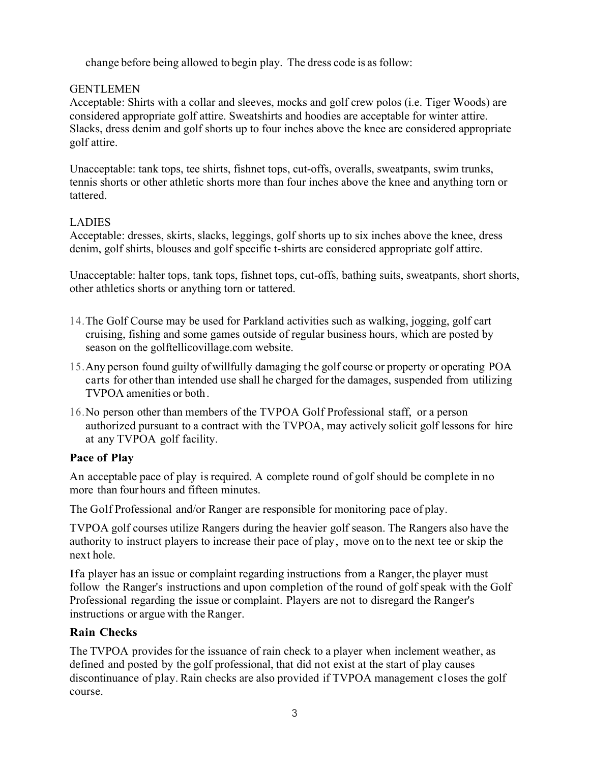change before being allowed to begin play. The dress code is as follow:

#### **GENTLEMEN**

Acceptable: Shirts with a collar and sleeves, mocks and golf crew polos (i.e. Tiger Woods) are considered appropriate golf attire. Sweatshirts and hoodies are acceptable for winter attire. Slacks, dress denim and golf shorts up to four inches above the knee are considered appropriate golf attire.

Unacceptable: tank tops, tee shirts, fishnet tops, cut-offs, overalls, sweatpants, swim trunks, tennis shorts or other athletic shorts more than four inches above the knee and anything torn or tattered.

## LADIES

Acceptable: dresses, skirts, slacks, leggings, golf shorts up to six inches above the knee, dress denim, golf shirts, blouses and golf specific t-shirts are considered appropriate golf attire.

Unacceptable: halter tops, tank tops, fishnet tops, cut-offs, bathing suits, sweatpants, short shorts, other athletics shorts or anything torn or tattered.

- 14.The Golf Course may be used for Parkland activities such as walking, jogging, golf cart cruising, fishing and some games outside of regular business hours, which are posted by season on the golftellicovillage.com website.
- 15.Any person found guilty of willfully damaging the golf course or property or operating POA carts for other than intended use shall he charged for the damages, suspended from utilizing TVPOA amenities or both.
- 16.No person other than members of the TVPOA Golf Professional staff, or a person authorized pursuant to a contract with the TVPOA, may actively solicit golf lessons for hire at any TVPOA golf facility.

## **Pace of Play**

An acceptable pace of play is required. A complete round of golf should be complete in no more than fourhours and fifteen minutes.

The Golf Professional and/or Ranger are responsible for monitoring pace of play.

TVPOA golf courses utilize Rangers during the heavier golf season. The Rangers also have the authority to instruct players to increase their pace of play, move on to the next tee or skip the next hole.

Ifa player has an issue or complaint regarding instructions from a Ranger, the player must follow the Ranger's instructions and upon completion of the round of golf speak with the Golf Professional regarding the issue or complaint. Players are not to disregard the Ranger's instructions or argue with the Ranger.

## **Rain Checks**

The TVPOA provides for the issuance of rain check to a player when inclement weather, as defined and posted by the golf professional, that did not exist at the start of play causes discontinuance of play. Rain checks are also provided if TVPOA management closes the golf course.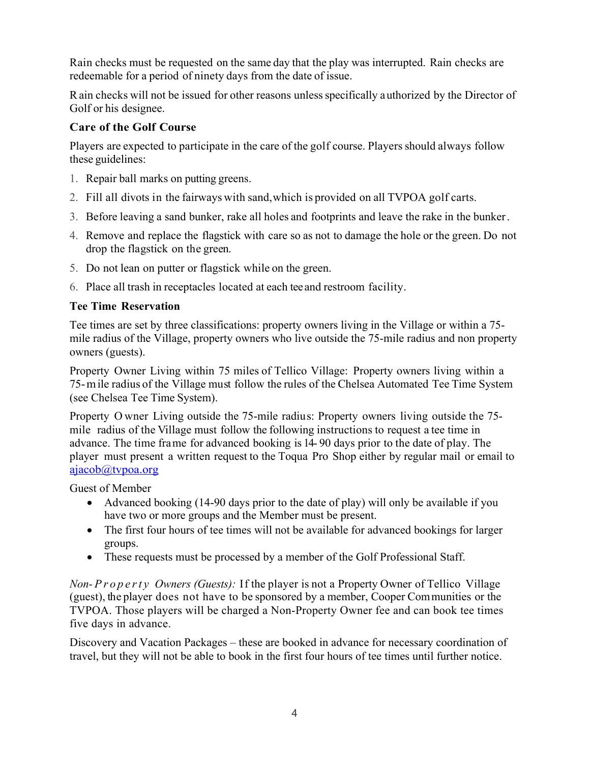Rain checks must be requested on the same day that the play was interrupted. Rain checks are redeemable for a period of ninety days from the date of issue.

Rain checks will not be issued for other reasons unlessspecifically authorized by the Director of Golf or his designee.

#### **Care of the Golf Course**

Players are expected to participate in the care of the golf course. Players should always follow these guidelines:

- 1. Repair ball marks on putting greens.
- 2. Fill all divots in the fairways with sand,which is provided on all TVPOA golf carts.
- 3. Before leaving a sand bunker, rake all holes and footprints and leave the rake in the bunker.
- 4. Remove and replace the flagstick with care so as not to damage the hole or the green. Do not drop the flagstick on the green.
- 5. Do not lean on putter or flagstick while on the green.
- 6. Place all trash in receptacles located at each tee and restroom facility.

#### **Tee Time Reservation**

Tee times are set by three classifications: property owners living in the Village or within a 75 mile radius of the Village, property owners who live outside the 75-mile radius and non property owners (guests).

Property Owner Living within 75 miles of Tellico Village: Property owners living within a 75-mile radius of the Village must follow the rules of the Chelsea Automated Tee Time System (see Chelsea Tee Time System).

Property O wner Living outside the 75-mile radius: Property owners living outside the 75 mile radius of the Village must follow the following instructions to request a tee time in advance. The time frame for advanced booking is 14- 90 days prior to the date of play. The player must present a written request to the Toqua Pro Shop either by regular mail or email to ajacob@tvpoa.org

Guest of Member

- Advanced booking (14-90 days prior to the date of play) will only be available if you have two or more groups and the Member must be present.
- The first four hours of tee times will not be available for advanced bookings for larger groups.
- These requests must be processed by a member of the Golf Professional Staff.

*Non- Property Owners (Guests):* If the player is not a Property Owner of Tellico Village (guest), the player does not have to be sponsored by a member, Cooper Communities or the TVPOA. Those players will be charged a Non-Property Owner fee and can book tee times five days in advance.

Discovery and Vacation Packages – these are booked in advance for necessary coordination of travel, but they will not be able to book in the first four hours of tee times until further notice.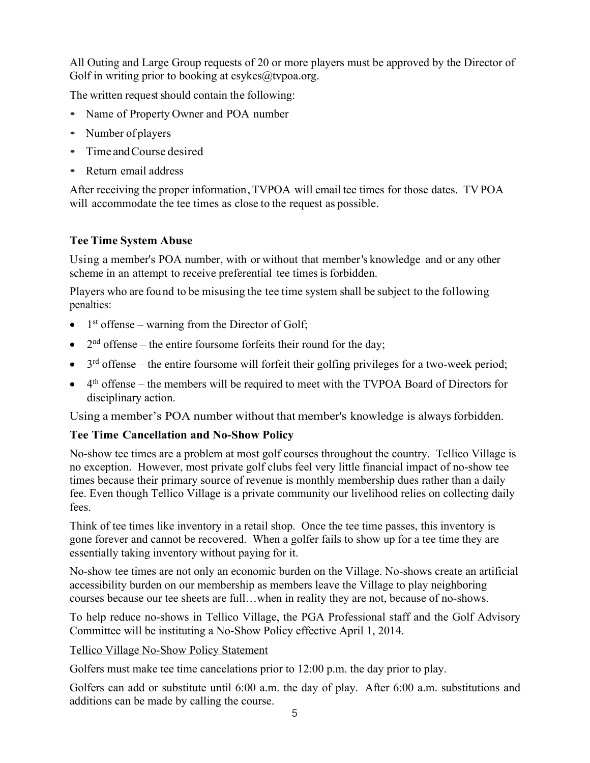All Outing and Large Group requests of 20 or more players must be approved by the Director of Golf in writing prior to booking at  $csykes@twoa.org$ .

The written request should contain the following:

- Name of Property Owner and POA number
- Number of players
- Time andCourse desired
- Return email address

After receiving the proper information, TVPOA will email tee times for those dates. TVPOA will accommodate the tee times as close to the request as possible.

## **Tee Time System Abuse**

Using a member's POA number, with or without that member's knowledge and or any other scheme in an attempt to receive preferential tee times is forbidden.

Players who are found to be misusing the tee time system shall be subject to the following penalties:

- $\bullet$  1<sup>st</sup> offense warning from the Director of Golf;
- $2<sup>nd</sup>$  offense the entire foursome forfeits their round for the day;
- $3<sup>rd</sup>$  offense the entire foursome will forfeit their golfing privileges for a two-week period;
- $\bullet$  4<sup>th</sup> offense the members will be required to meet with the TVPOA Board of Directors for disciplinary action.

Using a member's POA number without that member's knowledge is always forbidden.

# **Tee Time Cancellation and No-Show Policy**

No-show tee times are a problem at most golf courses throughout the country. Tellico Village is no exception. However, most private golf clubs feel very little financial impact of no-show tee times because their primary source of revenue is monthly membership dues rather than a daily fee. Even though Tellico Village is a private community our livelihood relies on collecting daily fees.

Think of tee times like inventory in a retail shop. Once the tee time passes, this inventory is gone forever and cannot be recovered. When a golfer fails to show up for a tee time they are essentially taking inventory without paying for it.

No-show tee times are not only an economic burden on the Village. No-shows create an artificial accessibility burden on our membership as members leave the Village to play neighboring courses because our tee sheets are full…when in reality they are not, because of no-shows.

To help reduce no-shows in Tellico Village, the PGA Professional staff and the Golf Advisory Committee will be instituting a No-Show Policy effective April 1, 2014.

## Tellico Village No-Show Policy Statement

Golfers must make tee time cancelations prior to 12:00 p.m. the day prior to play.

Golfers can add or substitute until 6:00 a.m. the day of play. After 6:00 a.m. substitutions and additions can be made by calling the course.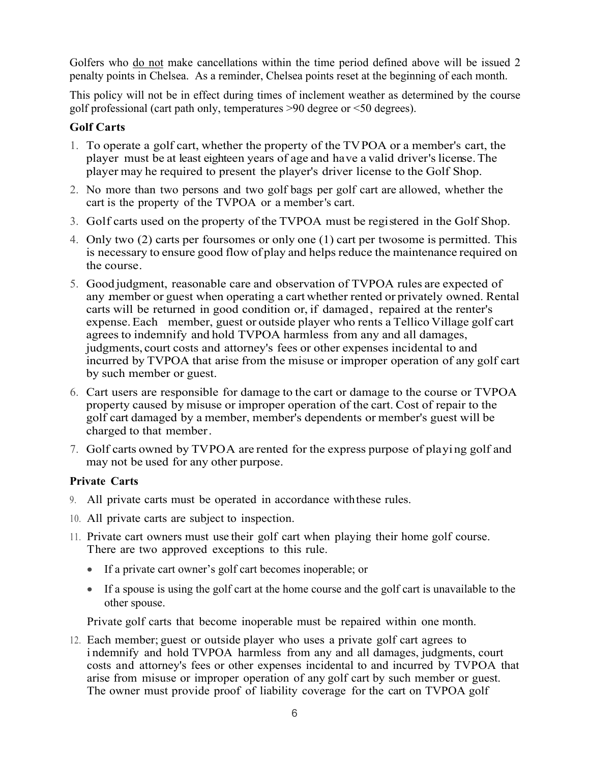Golfers who do not make cancellations within the time period defined above will be issued 2 penalty points in Chelsea. As a reminder, Chelsea points reset at the beginning of each month.

This policy will not be in effect during times of inclement weather as determined by the course golf professional (cart path only, temperatures >90 degree or <50 degrees).

#### **Golf Carts**

- 1. To operate a golf cart, whether the property of the TVPOA or a member's cart, the player must be at least eighteen years of age and have a valid driver's license. The player may he required to present the player's driver license to the Golf Shop.
- 2. No more than two persons and two golf bags per golf cart are allowed, whether the cart is the property of the TVPOA or a member's cart.
- 3. Golf carts used on the property of the TVPOA must be registered in the Golf Shop.
- 4. Only two (2) carts per foursomes or only one (1) cart per twosome is permitted. This is necessary to ensure good flow of play and helps reduce the maintenance required on the course.
- 5. Good judgment, reasonable care and observation of TVPOA rules are expected of any member or guest when operating a cart whether rented or privately owned. Rental carts will be returned in good condition or, if damaged, repaired at the renter's expense.Each member, guest or outside player who rents a Tellico Village golf cart agrees to indemnify and hold TVPOA harmless from any and all damages, judgments, court costs and attorney's fees or other expenses incidental to and incurred by TVPOA that arise from the misuse or improper operation of any golf cart by such member or guest.
- 6. Cart users are responsible for damage to the cart or damage to the course or TVPOA property caused by misuse or improper operation of the cart. Cost of repair to the golf cart damaged by a member, member's dependents or member's guest will be charged to that member.
- 7. Golf carts owned by TVPOA are rented for the express purpose of playing golf and may not be used for any other purpose.

#### **Private Carts**

- 9. All private carts must be operated in accordance withthese rules.
- 10. All private carts are subject to inspection.
- 11. Private cart owners must use their golf cart when playing their home golf course. There are two approved exceptions to this rule.
	- If a private cart owner's golf cart becomes inoperable; or
	- If a spouse is using the golf cart at the home course and the golf cart is unavailable to the other spouse.

Private golf carts that become inoperable must be repaired within one month.

12. Each member; guest or outside player who uses a private golf cart agrees to i ndemnify and hold TVPOA harmless from any and all damages, judgments, court costs and attorney's fees or other expenses incidental to and incurred by TVPOA that arise from misuse or improper operation of any golf cart by such member or guest. The owner must provide proof of liability coverage for the cart on TVPOA golf